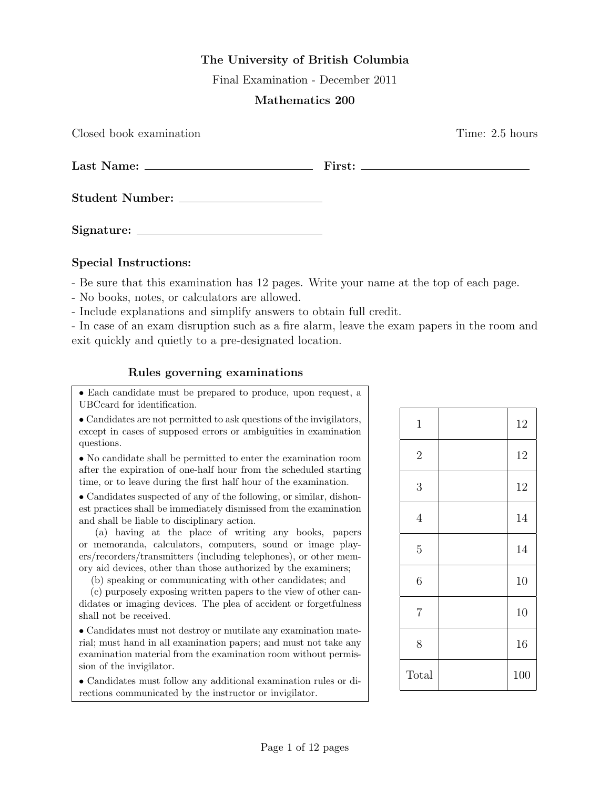## The University of British Columbia

Final Examination - December 2011

## Mathematics 200

 $\qquad \qquad \textbf{First:} \qquad \qquad$ 

Closed book examination **Time:** 2.5 hours

| Last Name: |  |
|------------|--|
|            |  |

Student Number:

Signature:

## Special Instructions:

- Be sure that this examination has 12 pages. Write your name at the top of each page.

- No books, notes, or calculators are allowed.
- Include explanations and simplify answers to obtain full credit.

- In case of an exam disruption such as a fire alarm, leave the exam papers in the room and exit quickly and quietly to a pre-designated location.

## Rules governing examinations

• Each candidate must be prepared to produce, upon request, a UBCcard for identification.

• Candidates are not permitted to ask questions of the invigilators, except in cases of supposed errors or ambiguities in examination questions.

• No candidate shall be permitted to enter the examination room after the expiration of one-half hour from the scheduled starting time, or to leave during the first half hour of the examination.

• Candidates suspected of any of the following, or similar, dishonest practices shall be immediately dismissed from the examination and shall be liable to disciplinary action.

(a) having at the place of writing any books, papers or memoranda, calculators, computers, sound or image players/recorders/transmitters (including telephones), or other memory aid devices, other than those authorized by the examiners;

(b) speaking or communicating with other candidates; and

(c) purposely exposing written papers to the view of other candidates or imaging devices. The plea of accident or forgetfulness shall not be received.

• Candidates must not destroy or mutilate any examination material; must hand in all examination papers; and must not take any examination material from the examination room without permission of the invigilator.

• Candidates must follow any additional examination rules or directions communicated by the instructor or invigilator.

| $\mathbf{1}$   | 12  |
|----------------|-----|
| $\sqrt{2}$     | 12  |
| 3              | 12  |
| $\overline{4}$ | 14  |
| $\overline{5}$ | 14  |
| $\overline{6}$ | 10  |
| $\overline{7}$ | 10  |
| 8              | 16  |
| Total          | 100 |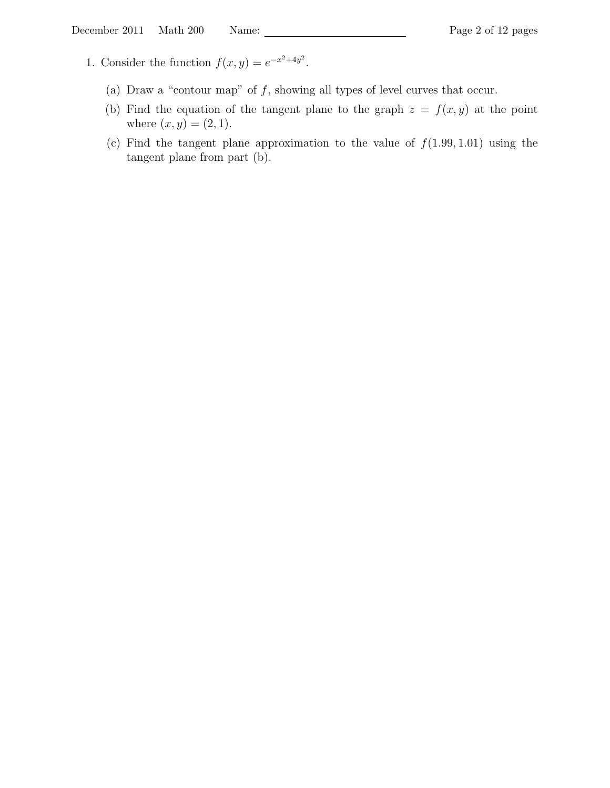- 1. Consider the function  $f(x, y) = e^{-x^2 + 4y^2}$ .
	- (a) Draw a "contour map" of  $f$ , showing all types of level curves that occur.
	- (b) Find the equation of the tangent plane to the graph  $z = f(x, y)$  at the point where  $(x, y) = (2, 1)$ .
	- (c) Find the tangent plane approximation to the value of  $f(1.99, 1.01)$  using the tangent plane from part (b).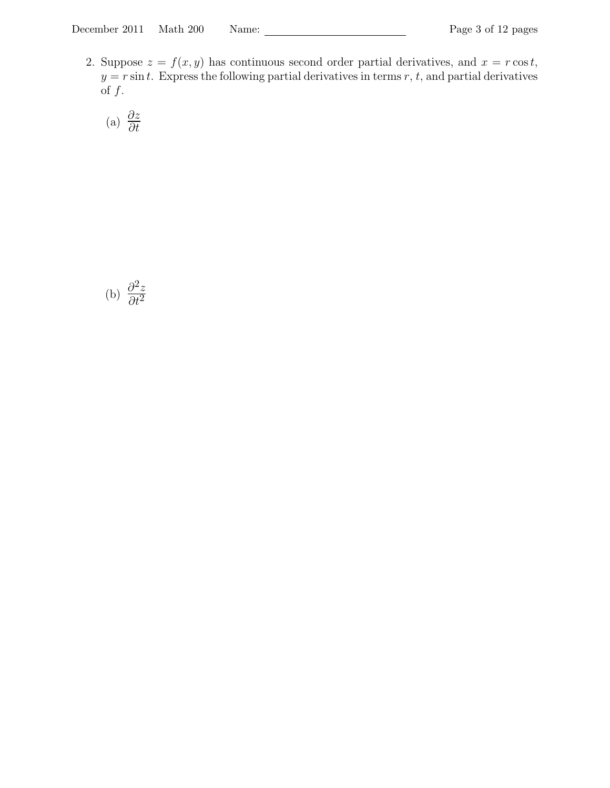2. Suppose  $z = f(x, y)$  has continuous second order partial derivatives, and  $x = r \cos t$ ,  $y = r \sin t$ . Express the following partial derivatives in terms r, t, and partial derivatives of  $f$ .

(a)  $\frac{\partial z}{\partial t}$ 

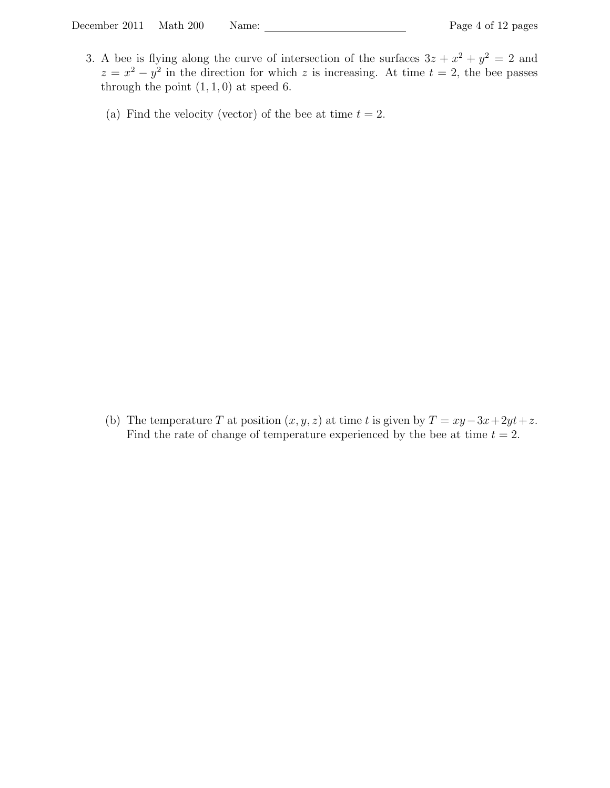- 3. A bee is flying along the curve of intersection of the surfaces  $3z + x^2 + y^2 = 2$  and  $z = x^2 - y^2$  in the direction for which z is increasing. At time  $t = 2$ , the bee passes through the point  $(1, 1, 0)$  at speed 6.
	- (a) Find the velocity (vector) of the bee at time  $t = 2$ .

(b) The temperature T at position  $(x, y, z)$  at time t is given by  $T = xy - 3x + 2yt + z$ . Find the rate of change of temperature experienced by the bee at time  $t = 2$ .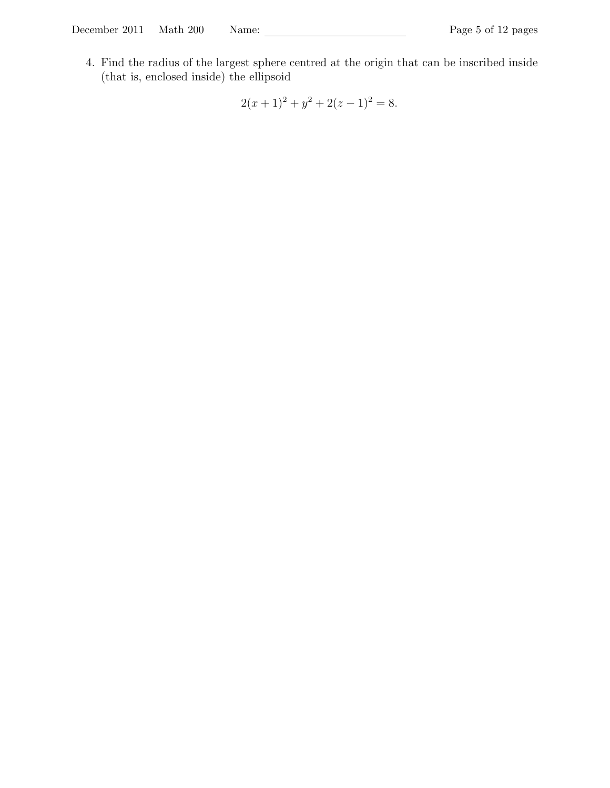4. Find the radius of the largest sphere centred at the origin that can be inscribed inside (that is, enclosed inside) the ellipsoid

 $2(x+1)^2 + y^2 + 2(z-1)^2 = 8.$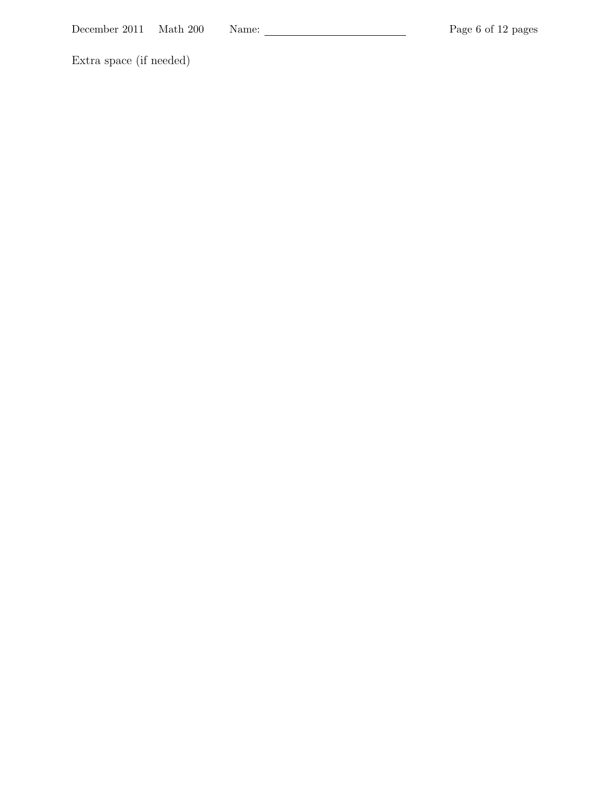Extra space (if needed)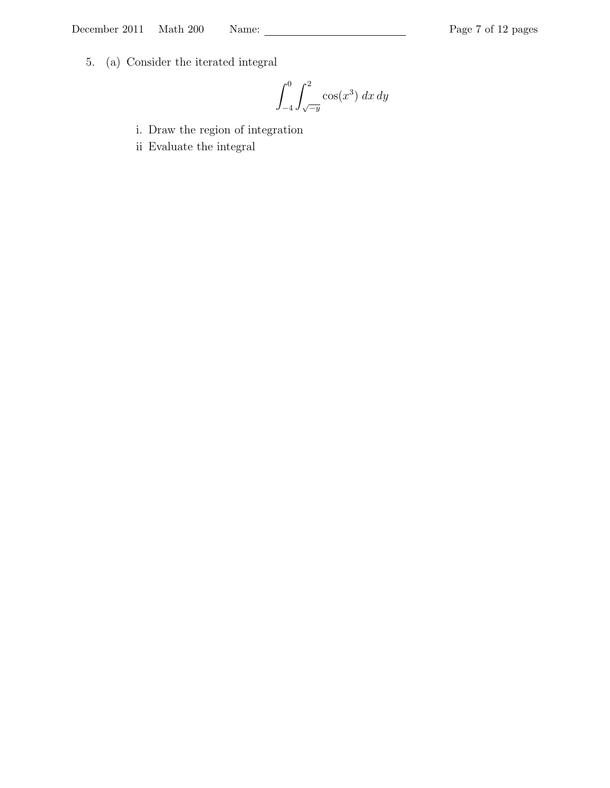5. (a) Consider the iterated integral

$$
\int_{-4}^{0} \int_{\sqrt{-y}}^{2} \cos(x^3) \, dx \, dy
$$

- i. Draw the region of integration
- ii Evaluate the integral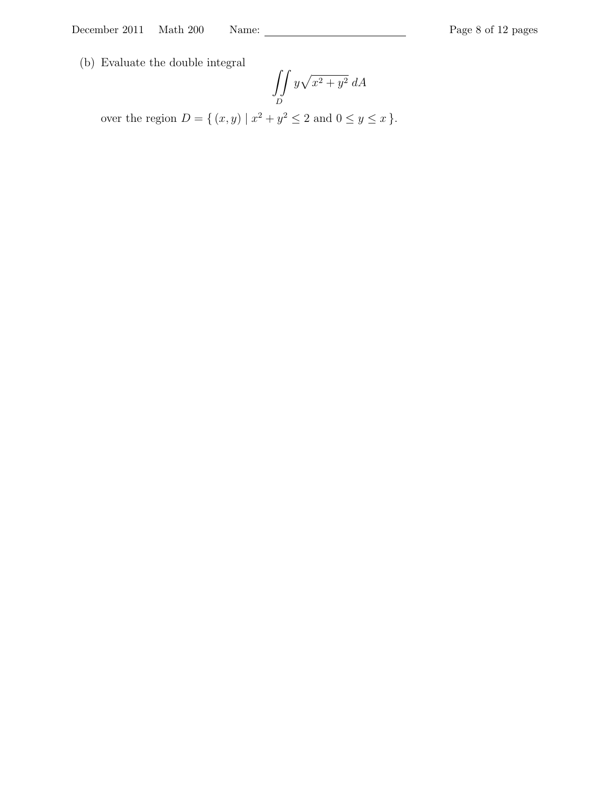(b) Evaluate the double integral

$$
\iint\limits_D y\sqrt{x^2+y^2}\;dA
$$

over the region  $D = \{ (x, y) | x^2 + y^2 \le 2 \text{ and } 0 \le y \le x \}.$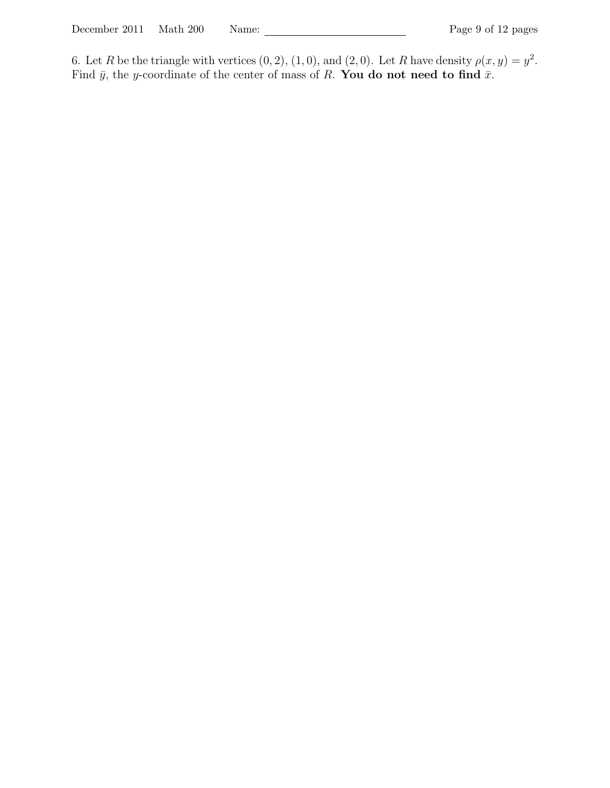6. Let R be the triangle with vertices  $(0, 2), (1, 0),$  and  $(2, 0)$ . Let R have density  $\rho(x, y) = y^2$ . Find  $\bar{y}$ , the y-coordinate of the center of mass of R. You do not need to find  $\bar{x}$ .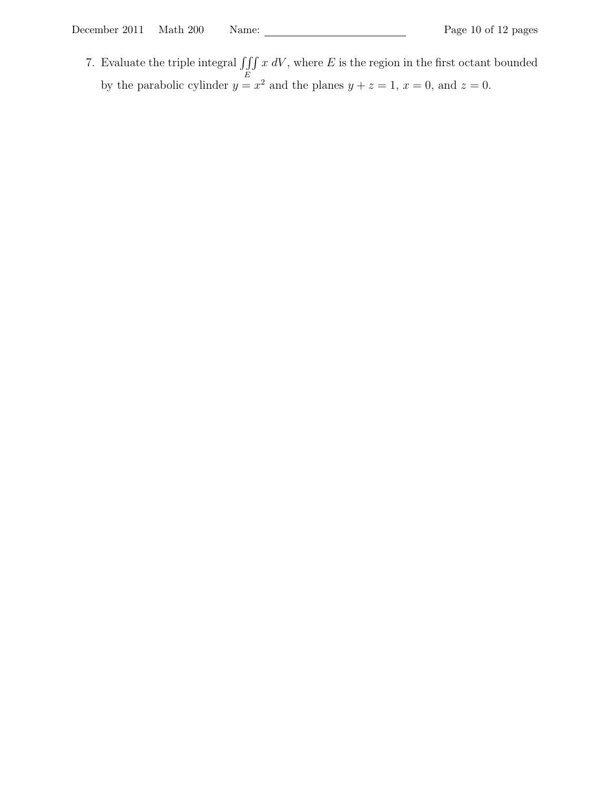7. Evaluate the triple integral  $\iiint$ E  $x dV$ , where  $E$  is the region in the first octant bounded by the parabolic cylinder  $y = x^2$  and the planes  $y + z = 1$ ,  $x = 0$ , and  $z = 0$ .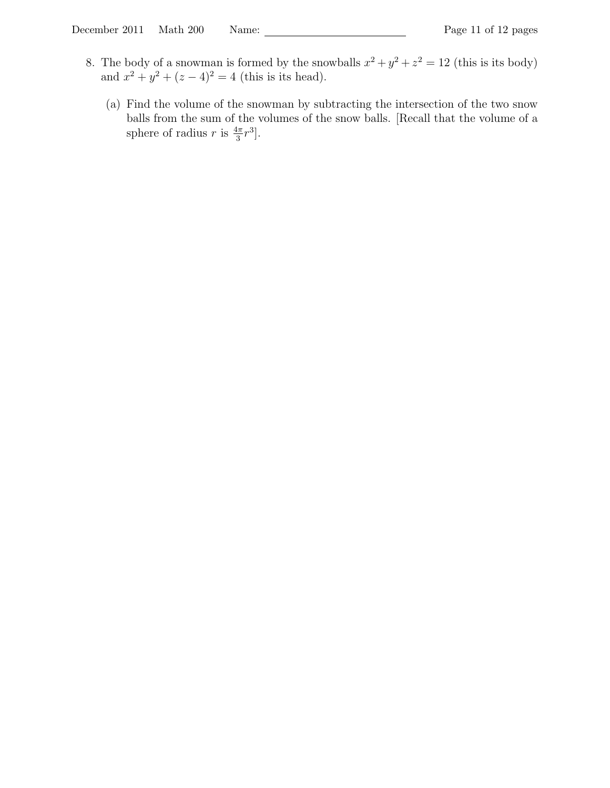- 8. The body of a snowman is formed by the snowballs  $x^2 + y^2 + z^2 = 12$  (this is its body) and  $x^2 + y^2 + (z - 4)^2 = 4$  (this is its head).
	- (a) Find the volume of the snowman by subtracting the intersection of the two snow balls from the sum of the volumes of the snow balls. [Recall that the volume of a sphere of radius r is  $\frac{4\pi}{3}r^3$ .